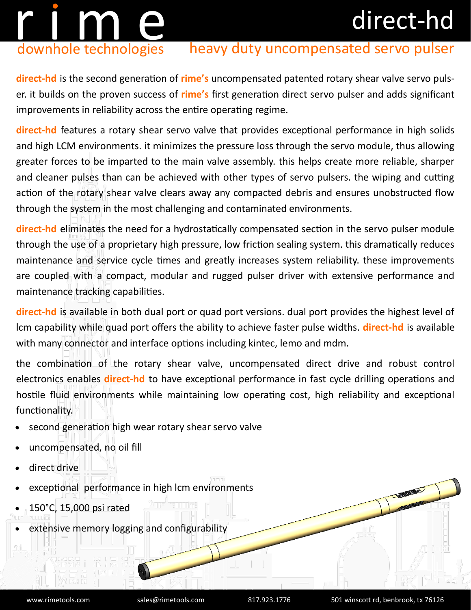## direct-hd

# r i m en downhole technologies

### heavy duty uncompensated servo pulser

**direct-hd** is the second generation of **rime's** uncompensated patented rotary shear valve servo pulser. it builds on the proven success of **rime's** first generation direct servo pulser and adds significant improvements in reliability across the entire operating regime.

**direct-hd** features a rotary shear servo valve that provides exceptional performance in high solids and high LCM environments. it minimizes the pressure loss through the servo module, thus allowing greater forces to be imparted to the main valve assembly. this helps create more reliable, sharper and cleaner pulses than can be achieved with other types of servo pulsers. the wiping and cutting action of the rotary shear valve clears away any compacted debris and ensures unobstructed flow through the system in the most challenging and contaminated environments.

**direct-hd** eliminates the need for a hydrostatically compensated section in the servo pulser module through the use of a proprietary high pressure, low friction sealing system. this dramatically reduces maintenance and service cycle times and greatly increases system reliability. these improvements are coupled with a compact, modular and rugged pulser driver with extensive performance and maintenance tracking capabilities.

**direct-hd** is available in both dual port or quad port versions. dual port provides the highest level of lcm capability while quad port offers the ability to achieve faster pulse widths. **direct-hd** is available with many connector and interface options including kintec, lemo and mdm.

the combination of the rotary shear valve, uncompensated direct drive and robust control electronics enables **direct-hd** to have exceptional performance in fast cycle drilling operations and hostile fluid environments while maintaining low operating cost, high reliability and exceptional functionality.

- second generation high wear rotary shear servo valve
- uncompensated, no oil fill
- direct drive
- exceptional performance in high lcm environments
- 150°C, 15,000 psi rated
- extensive memory logging and configurability

Comment of Congress